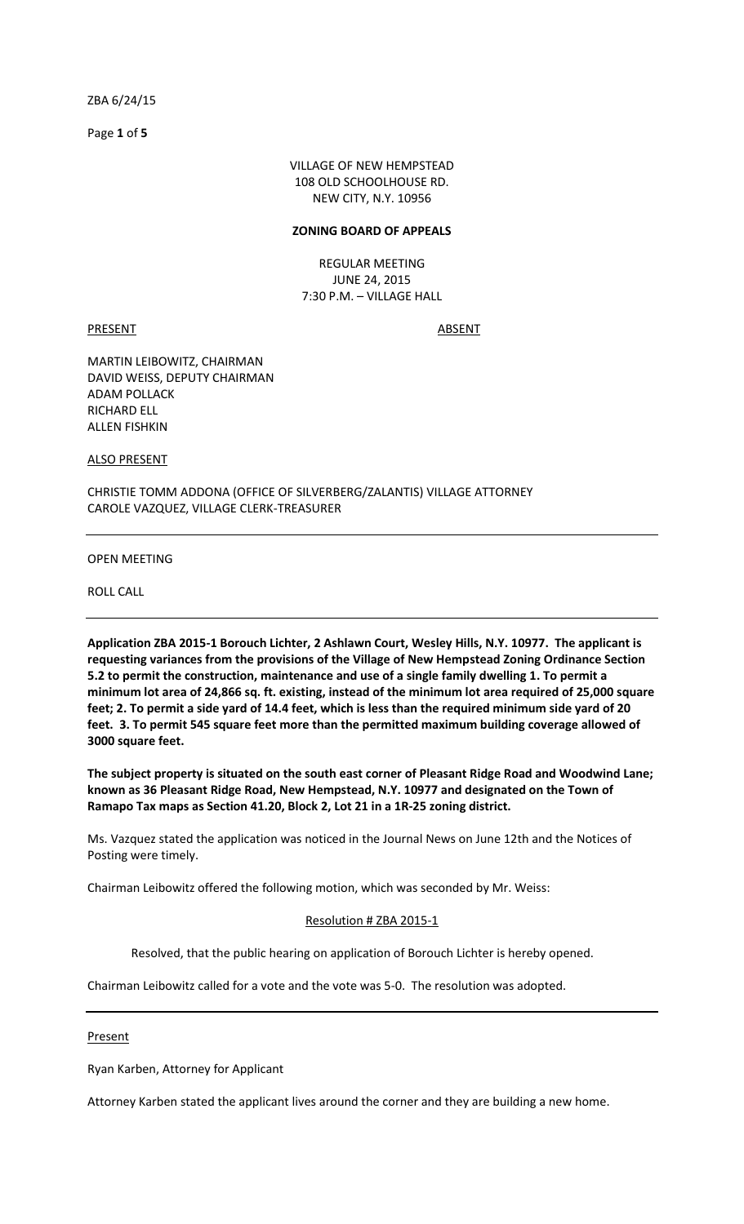Page **1** of **5**

VILLAGE OF NEW HEMPSTEAD 108 OLD SCHOOLHOUSE RD. NEW CITY, N.Y. 10956

#### **ZONING BOARD OF APPEALS**

REGULAR MEETING JUNE 24, 2015 7:30 P.M. – VILLAGE HALL

PRESENT ABSENT

MARTIN LEIBOWITZ, CHAIRMAN DAVID WEISS, DEPUTY CHAIRMAN ADAM POLLACK RICHARD ELL ALLEN FISHKIN

ALSO PRESENT

CHRISTIE TOMM ADDONA (OFFICE OF SILVERBERG/ZALANTIS) VILLAGE ATTORNEY CAROLE VAZQUEZ, VILLAGE CLERK-TREASURER

OPEN MEETING

ROLL CALL

**Application ZBA 2015-1 Borouch Lichter, 2 Ashlawn Court, Wesley Hills, N.Y. 10977. The applicant is requesting variances from the provisions of the Village of New Hempstead Zoning Ordinance Section 5.2 to permit the construction, maintenance and use of a single family dwelling 1. To permit a minimum lot area of 24,866 sq. ft. existing, instead of the minimum lot area required of 25,000 square feet; 2. To permit a side yard of 14.4 feet, which is less than the required minimum side yard of 20 feet. 3. To permit 545 square feet more than the permitted maximum building coverage allowed of 3000 square feet.** 

**The subject property is situated on the south east corner of Pleasant Ridge Road and Woodwind Lane; known as 36 Pleasant Ridge Road, New Hempstead, N.Y. 10977 and designated on the Town of Ramapo Tax maps as Section 41.20, Block 2, Lot 21 in a 1R-25 zoning district.** 

Ms. Vazquez stated the application was noticed in the Journal News on June 12th and the Notices of Posting were timely.

Chairman Leibowitz offered the following motion, which was seconded by Mr. Weiss:

# Resolution # ZBA 2015-1

Resolved, that the public hearing on application of Borouch Lichter is hereby opened.

Chairman Leibowitz called for a vote and the vote was 5-0. The resolution was adopted.

#### Present

Ryan Karben, Attorney for Applicant

Attorney Karben stated the applicant lives around the corner and they are building a new home.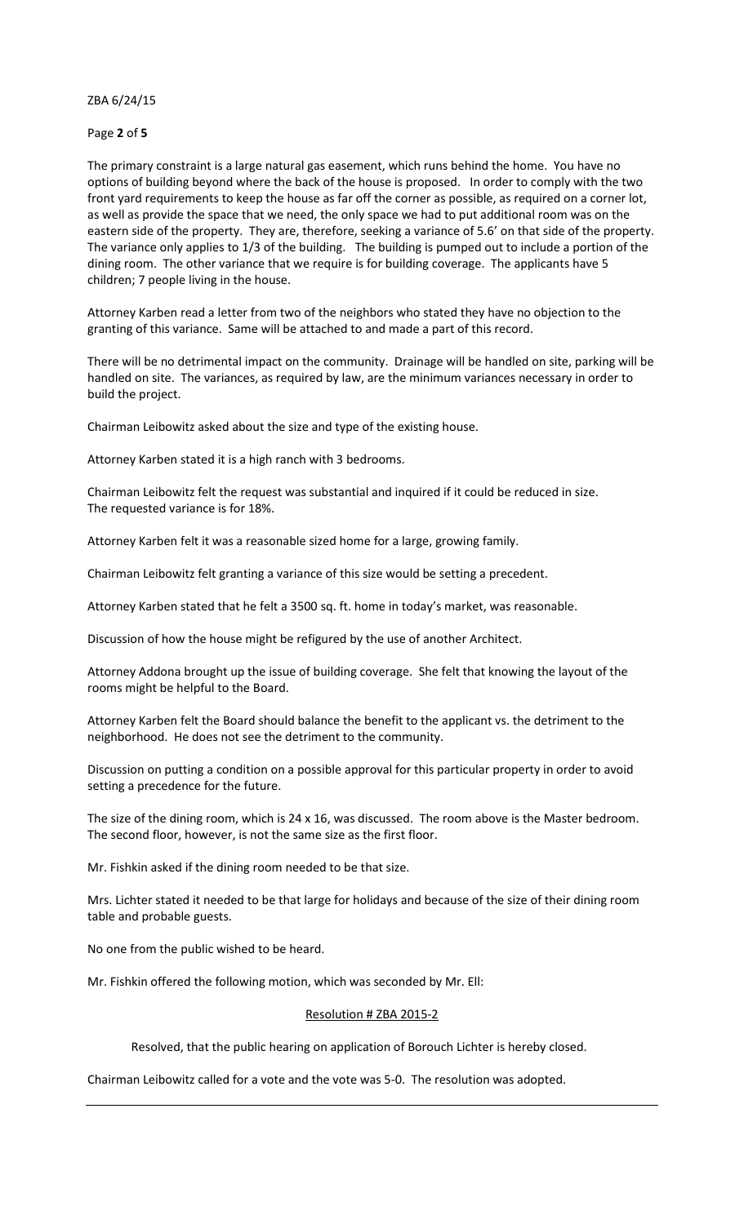## Page **2** of **5**

The primary constraint is a large natural gas easement, which runs behind the home. You have no options of building beyond where the back of the house is proposed. In order to comply with the two front yard requirements to keep the house as far off the corner as possible, as required on a corner lot, as well as provide the space that we need, the only space we had to put additional room was on the eastern side of the property. They are, therefore, seeking a variance of 5.6' on that side of the property. The variance only applies to 1/3 of the building. The building is pumped out to include a portion of the dining room. The other variance that we require is for building coverage. The applicants have 5 children; 7 people living in the house.

Attorney Karben read a letter from two of the neighbors who stated they have no objection to the granting of this variance. Same will be attached to and made a part of this record.

There will be no detrimental impact on the community. Drainage will be handled on site, parking will be handled on site. The variances, as required by law, are the minimum variances necessary in order to build the project.

Chairman Leibowitz asked about the size and type of the existing house.

Attorney Karben stated it is a high ranch with 3 bedrooms.

Chairman Leibowitz felt the request was substantial and inquired if it could be reduced in size. The requested variance is for 18%.

Attorney Karben felt it was a reasonable sized home for a large, growing family.

Chairman Leibowitz felt granting a variance of this size would be setting a precedent.

Attorney Karben stated that he felt a 3500 sq. ft. home in today's market, was reasonable.

Discussion of how the house might be refigured by the use of another Architect.

Attorney Addona brought up the issue of building coverage. She felt that knowing the layout of the rooms might be helpful to the Board.

Attorney Karben felt the Board should balance the benefit to the applicant vs. the detriment to the neighborhood. He does not see the detriment to the community.

Discussion on putting a condition on a possible approval for this particular property in order to avoid setting a precedence for the future.

The size of the dining room, which is 24 x 16, was discussed. The room above is the Master bedroom. The second floor, however, is not the same size as the first floor.

Mr. Fishkin asked if the dining room needed to be that size.

Mrs. Lichter stated it needed to be that large for holidays and because of the size of their dining room table and probable guests.

No one from the public wished to be heard.

Mr. Fishkin offered the following motion, which was seconded by Mr. Ell:

# Resolution # ZBA 2015-2

Resolved, that the public hearing on application of Borouch Lichter is hereby closed.

Chairman Leibowitz called for a vote and the vote was 5-0. The resolution was adopted.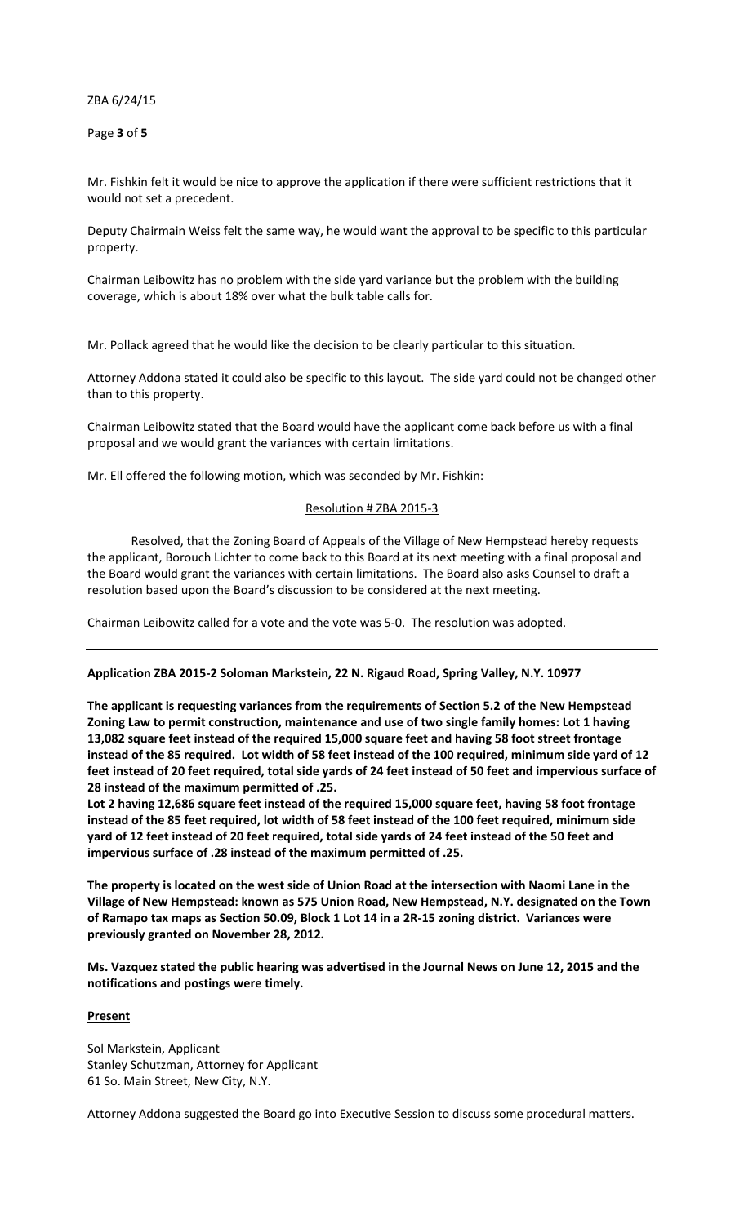Page **3** of **5**

Mr. Fishkin felt it would be nice to approve the application if there were sufficient restrictions that it would not set a precedent.

Deputy Chairmain Weiss felt the same way, he would want the approval to be specific to this particular property.

Chairman Leibowitz has no problem with the side yard variance but the problem with the building coverage, which is about 18% over what the bulk table calls for.

Mr. Pollack agreed that he would like the decision to be clearly particular to this situation.

Attorney Addona stated it could also be specific to this layout. The side yard could not be changed other than to this property.

Chairman Leibowitz stated that the Board would have the applicant come back before us with a final proposal and we would grant the variances with certain limitations.

Mr. Ell offered the following motion, which was seconded by Mr. Fishkin:

# Resolution # ZBA 2015-3

 Resolved, that the Zoning Board of Appeals of the Village of New Hempstead hereby requests the applicant, Borouch Lichter to come back to this Board at its next meeting with a final proposal and the Board would grant the variances with certain limitations. The Board also asks Counsel to draft a resolution based upon the Board's discussion to be considered at the next meeting.

Chairman Leibowitz called for a vote and the vote was 5-0. The resolution was adopted.

### **Application ZBA 2015-2 Soloman Markstein, 22 N. Rigaud Road, Spring Valley, N.Y. 10977**

**The applicant is requesting variances from the requirements of Section 5.2 of the New Hempstead Zoning Law to permit construction, maintenance and use of two single family homes: Lot 1 having 13,082 square feet instead of the required 15,000 square feet and having 58 foot street frontage instead of the 85 required. Lot width of 58 feet instead of the 100 required, minimum side yard of 12 feet instead of 20 feet required, total side yards of 24 feet instead of 50 feet and impervious surface of 28 instead of the maximum permitted of .25.** 

**Lot 2 having 12,686 square feet instead of the required 15,000 square feet, having 58 foot frontage instead of the 85 feet required, lot width of 58 feet instead of the 100 feet required, minimum side yard of 12 feet instead of 20 feet required, total side yards of 24 feet instead of the 50 feet and impervious surface of .28 instead of the maximum permitted of .25.** 

**The property is located on the west side of Union Road at the intersection with Naomi Lane in the Village of New Hempstead: known as 575 Union Road, New Hempstead, N.Y. designated on the Town of Ramapo tax maps as Section 50.09, Block 1 Lot 14 in a 2R-15 zoning district. Variances were previously granted on November 28, 2012.** 

**Ms. Vazquez stated the public hearing was advertised in the Journal News on June 12, 2015 and the notifications and postings were timely.** 

## **Present**

Sol Markstein, Applicant Stanley Schutzman, Attorney for Applicant 61 So. Main Street, New City, N.Y.

Attorney Addona suggested the Board go into Executive Session to discuss some procedural matters.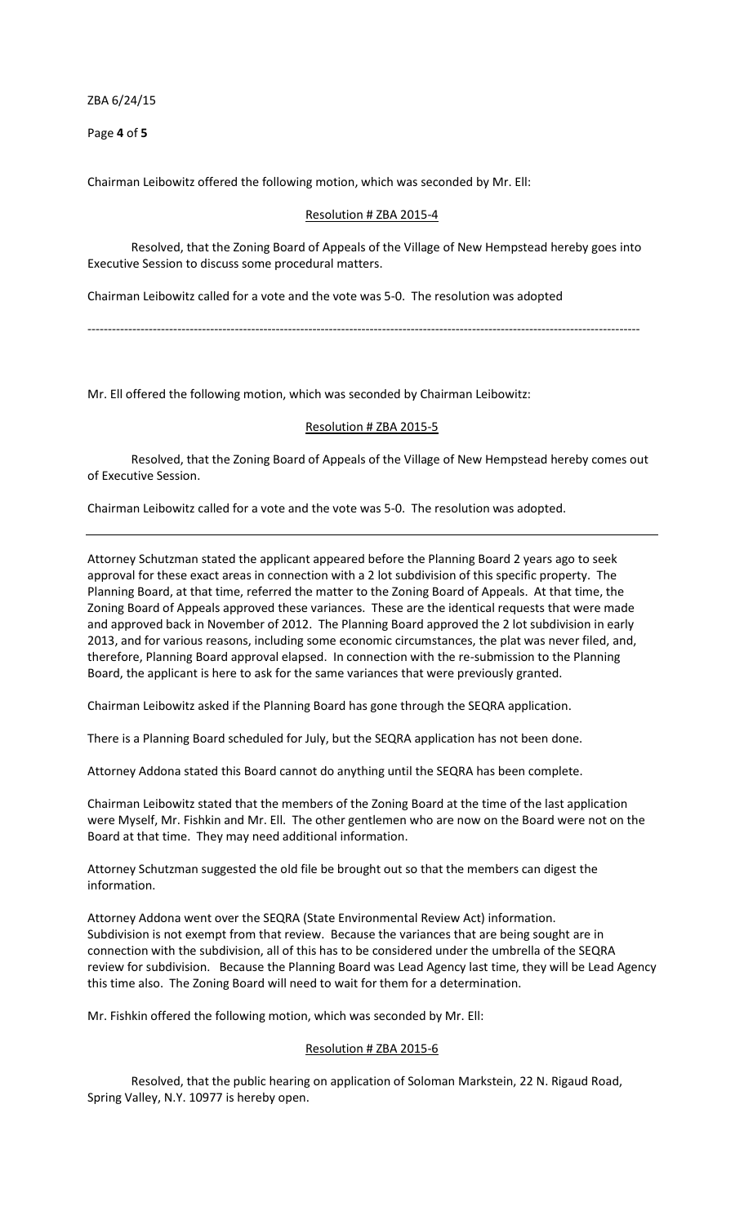Page **4** of **5**

Chairman Leibowitz offered the following motion, which was seconded by Mr. Ell:

## Resolution # ZBA 2015-4

 Resolved, that the Zoning Board of Appeals of the Village of New Hempstead hereby goes into Executive Session to discuss some procedural matters.

Chairman Leibowitz called for a vote and the vote was 5-0. The resolution was adopted

---------------------------------------------------------------------------------------------------------------------------------------

Mr. Ell offered the following motion, which was seconded by Chairman Leibowitz:

### Resolution # ZBA 2015-5

 Resolved, that the Zoning Board of Appeals of the Village of New Hempstead hereby comes out of Executive Session.

Chairman Leibowitz called for a vote and the vote was 5-0. The resolution was adopted.

Attorney Schutzman stated the applicant appeared before the Planning Board 2 years ago to seek approval for these exact areas in connection with a 2 lot subdivision of this specific property. The Planning Board, at that time, referred the matter to the Zoning Board of Appeals. At that time, the Zoning Board of Appeals approved these variances. These are the identical requests that were made and approved back in November of 2012. The Planning Board approved the 2 lot subdivision in early 2013, and for various reasons, including some economic circumstances, the plat was never filed, and, therefore, Planning Board approval elapsed. In connection with the re-submission to the Planning Board, the applicant is here to ask for the same variances that were previously granted.

Chairman Leibowitz asked if the Planning Board has gone through the SEQRA application.

There is a Planning Board scheduled for July, but the SEQRA application has not been done.

Attorney Addona stated this Board cannot do anything until the SEQRA has been complete.

Chairman Leibowitz stated that the members of the Zoning Board at the time of the last application were Myself, Mr. Fishkin and Mr. Ell. The other gentlemen who are now on the Board were not on the Board at that time. They may need additional information.

Attorney Schutzman suggested the old file be brought out so that the members can digest the information.

Attorney Addona went over the SEQRA (State Environmental Review Act) information. Subdivision is not exempt from that review. Because the variances that are being sought are in connection with the subdivision, all of this has to be considered under the umbrella of the SEQRA review for subdivision. Because the Planning Board was Lead Agency last time, they will be Lead Agency this time also. The Zoning Board will need to wait for them for a determination.

Mr. Fishkin offered the following motion, which was seconded by Mr. Ell:

# Resolution # ZBA 2015-6

 Resolved, that the public hearing on application of Soloman Markstein, 22 N. Rigaud Road, Spring Valley, N.Y. 10977 is hereby open.